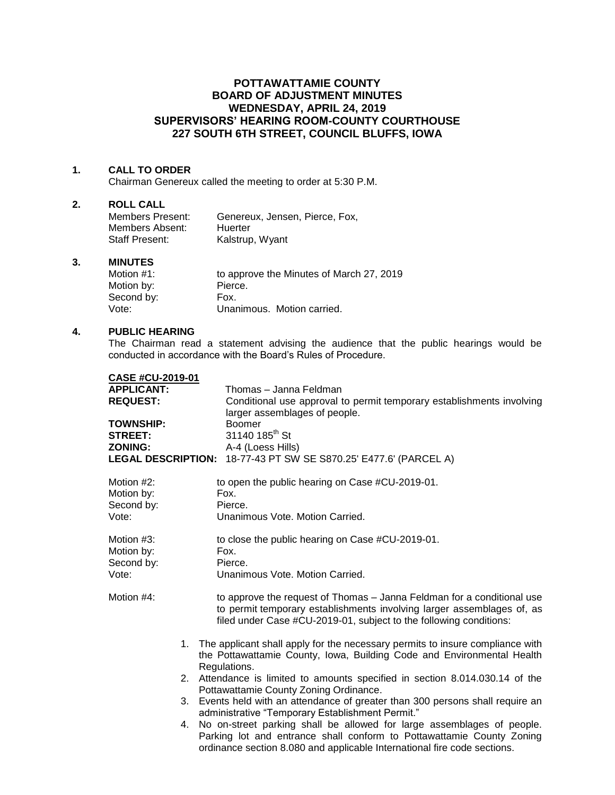# **POTTAWATTAMIE COUNTY BOARD OF ADJUSTMENT MINUTES WEDNESDAY, APRIL 24, 2019 SUPERVISORS' HEARING ROOM-COUNTY COURTHOUSE 227 SOUTH 6TH STREET, COUNCIL BLUFFS, IOWA**

## **1. CALL TO ORDER**

Chairman Genereux called the meeting to order at 5:30 P.M.

## **2. ROLL CALL**

| Members Present: | Genereux, Jensen, Pierce, Fox, |
|------------------|--------------------------------|
| Members Absent:  | Huerter                        |
| Staff Present:   | Kalstrup, Wyant                |

## **3. MINUTES**

| Motion $#1$ : | to approve the Minutes of March 27, 2019 |
|---------------|------------------------------------------|
| Motion by:    | Pierce.                                  |
| Second by:    | Fox.                                     |
| Vote:         | Unanimous. Motion carried.               |

# **4. PUBLIC HEARING**

The Chairman read a statement advising the audience that the public hearings would be conducted in accordance with the Board's Rules of Procedure.

| <b>CASE #CU-2019-01</b>   |                                                                                                                                                                                                                             |
|---------------------------|-----------------------------------------------------------------------------------------------------------------------------------------------------------------------------------------------------------------------------|
| <b>APPLICANT:</b>         | Thomas - Janna Feldman                                                                                                                                                                                                      |
| <b>REQUEST:</b>           | Conditional use approval to permit temporary establishments involving                                                                                                                                                       |
|                           | larger assemblages of people.                                                                                                                                                                                               |
| TOWNSHIP:                 | <b>Boomer</b>                                                                                                                                                                                                               |
| <b>STREET:</b>            | 31140 185 <sup>th</sup> St                                                                                                                                                                                                  |
| <b>ZONING:</b>            | A-4 (Loess Hills)                                                                                                                                                                                                           |
| <b>LEGAL DESCRIPTION:</b> | 18-77-43 PT SW SE S870.25' E477.6' (PARCEL A)                                                                                                                                                                               |
| Motion #2:                | to open the public hearing on Case #CU-2019-01.                                                                                                                                                                             |
| Motion by:                | Fox.                                                                                                                                                                                                                        |
| Second by:                | Pierce.                                                                                                                                                                                                                     |
| Vote:                     | Unanimous Vote. Motion Carried.                                                                                                                                                                                             |
| Motion #3:                | to close the public hearing on Case #CU-2019-01.                                                                                                                                                                            |
| Motion by:                | Fox.                                                                                                                                                                                                                        |
| Second by:                | Pierce.                                                                                                                                                                                                                     |
| Vote:                     | Unanimous Vote. Motion Carried.                                                                                                                                                                                             |
| Motion #4:                | to approve the request of Thomas – Janna Feldman for a conditional use<br>to permit temporary establishments involving larger assemblages of, as<br>filed under Case #CU-2019-01, subject to the following conditions:      |
|                           | 1. The applicant shall apply for the necessary permits to insure compliance with<br>the Pottawattamie County, Iowa, Building Code and Environmental Health<br>Regulations.                                                  |
|                           | 2. Attendance is limited to amounts specified in section 8.014.030.14 of the                                                                                                                                                |
|                           | Pottawattamie County Zoning Ordinance.                                                                                                                                                                                      |
| 3.                        | Events held with an attendance of greater than 300 persons shall require an                                                                                                                                                 |
|                           | administrative "Temporary Establishment Permit."                                                                                                                                                                            |
| 4.                        | No on-street parking shall be allowed for large assemblages of people.<br>Parking lot and entrance shall conform to Pottawattamie County Zoning<br>ordinance section 8.080 and applicable International fire code sections. |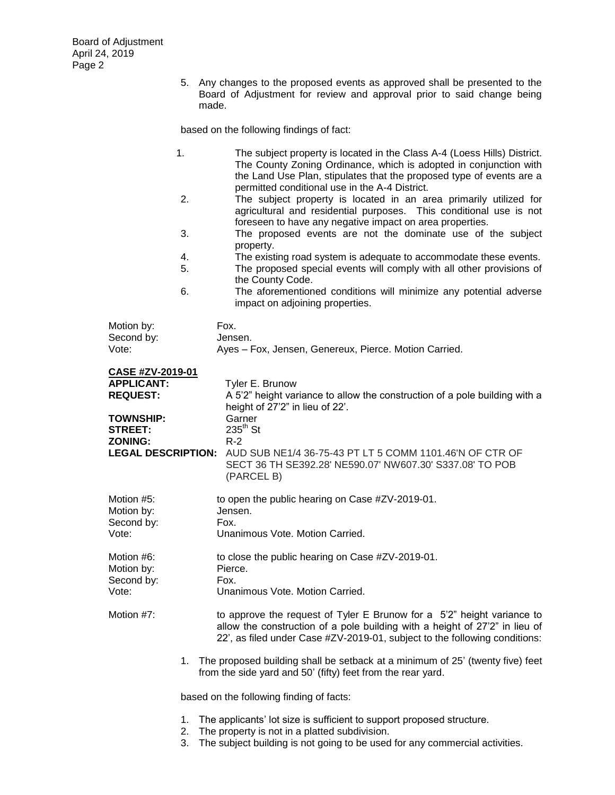5. Any changes to the proposed events as approved shall be presented to the Board of Adjustment for review and approval prior to said change being made.

based on the following findings of fact:

|                                                 | 1.       | The subject property is located in the Class A-4 (Loess Hills) District.<br>The County Zoning Ordinance, which is adopted in conjunction with<br>the Land Use Plan, stipulates that the proposed type of events are a<br>permitted conditional use in the A-4 District. |
|-------------------------------------------------|----------|-------------------------------------------------------------------------------------------------------------------------------------------------------------------------------------------------------------------------------------------------------------------------|
|                                                 | 2.       | The subject property is located in an area primarily utilized for<br>agricultural and residential purposes. This conditional use is not<br>foreseen to have any negative impact on area properties.                                                                     |
|                                                 | 3.       | The proposed events are not the dominate use of the subject<br>property.                                                                                                                                                                                                |
|                                                 | 4.<br>5. | The existing road system is adequate to accommodate these events.<br>The proposed special events will comply with all other provisions of<br>the County Code.                                                                                                           |
|                                                 | 6.       | The aforementioned conditions will minimize any potential adverse<br>impact on adjoining properties.                                                                                                                                                                    |
| Motion by:<br>Second by:                        |          | Fox.<br>Jensen.                                                                                                                                                                                                                                                         |
| Vote:                                           |          | Ayes - Fox, Jensen, Genereux, Pierce. Motion Carried.                                                                                                                                                                                                                   |
| CASE #ZV-2019-01<br><b>APPLICANT:</b>           |          |                                                                                                                                                                                                                                                                         |
| <b>REQUEST:</b>                                 |          | Tyler E. Brunow<br>A 5'2" height variance to allow the construction of a pole building with a<br>height of 27'2" in lieu of 22'.                                                                                                                                        |
| <b>TOWNSHIP:</b><br><b>STREET:</b>              |          | Garner<br>$235th$ St                                                                                                                                                                                                                                                    |
| <b>ZONING:</b><br><b>LEGAL DESCRIPTION:</b>     |          | $R-2$<br>AUD SUB NE1/4 36-75-43 PT LT 5 COMM 1101.46'N OF CTR OF<br>SECT 36 TH SE392.28' NE590.07' NW607.30' S337.08' TO POB<br>(PARCEL B)                                                                                                                              |
| Motion #5:<br>Motion by:<br>Second by:          |          | to open the public hearing on Case #ZV-2019-01.<br>Jensen.<br>Fox.                                                                                                                                                                                                      |
| Vote:                                           |          | Unanimous Vote. Motion Carried.                                                                                                                                                                                                                                         |
| Motion #6:<br>Motion by:<br>Second by:<br>Vote: |          | to close the public hearing on Case #ZV-2019-01.<br>Pierce.<br>Fox.<br>Unanimous Vote. Motion Carried.                                                                                                                                                                  |
|                                                 |          |                                                                                                                                                                                                                                                                         |
| Motion #7:                                      |          | to approve the request of Tyler E Brunow for a 5'2" height variance to<br>allow the construction of a pole building with a height of 27'2" in lieu of<br>22', as filed under Case #ZV-2019-01, subject to the following conditions:                                     |
|                                                 |          | 1. The proposed building shall be setback at a minimum of 25' (twenty five) feet<br>from the side yard and 50' (fifty) feet from the rear yard.                                                                                                                         |
|                                                 |          | based on the following finding of facts:                                                                                                                                                                                                                                |
|                                                 | 1.       | The applicants' lot size is sufficient to support proposed structure.<br>The property is not in a platted subdivision                                                                                                                                                   |

- 2. The property is not in a platted subdivision.
- 3. The subject building is not going to be used for any commercial activities.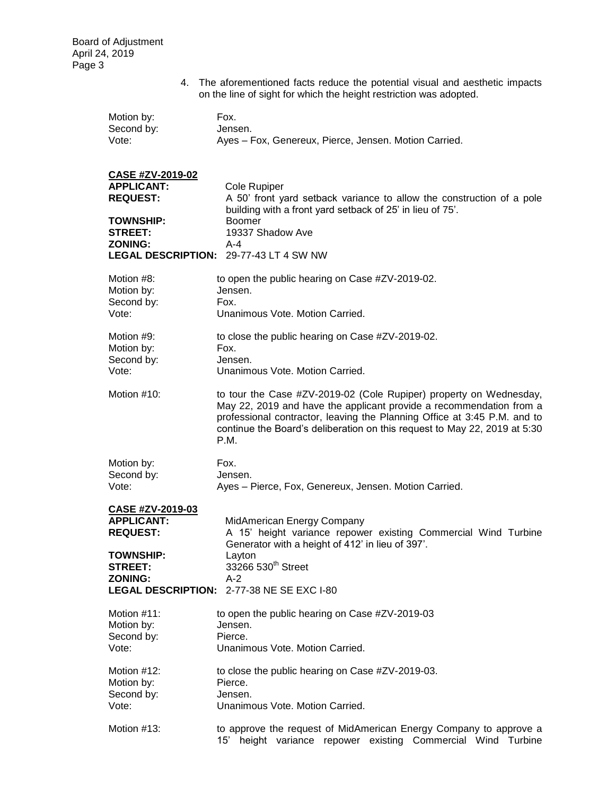|                                                                                                                         | 4. The aforementioned facts reduce the potential visual and aesthetic impacts<br>on the line of sight for which the height restriction was adopted.                                                                                                                                                        |
|-------------------------------------------------------------------------------------------------------------------------|------------------------------------------------------------------------------------------------------------------------------------------------------------------------------------------------------------------------------------------------------------------------------------------------------------|
| Motion by:                                                                                                              | Fox.                                                                                                                                                                                                                                                                                                       |
| Second by:                                                                                                              | Jensen.                                                                                                                                                                                                                                                                                                    |
| Vote:                                                                                                                   | Ayes - Fox, Genereux, Pierce, Jensen. Motion Carried.                                                                                                                                                                                                                                                      |
| <b>CASE #ZV-2019-02</b><br><b>APPLICANT:</b><br><b>REQUEST:</b><br><b>TOWNSHIP:</b><br><b>STREET:</b><br><b>ZONING:</b> | Cole Rupiper<br>A 50' front yard setback variance to allow the construction of a pole<br>building with a front yard setback of 25' in lieu of 75'.<br><b>Boomer</b><br>19337 Shadow Ave<br>A-4<br><b>LEGAL DESCRIPTION: 29-77-43 LT 4 SW NW</b>                                                            |
| Motion #8:                                                                                                              | to open the public hearing on Case #ZV-2019-02.                                                                                                                                                                                                                                                            |
| Motion by:                                                                                                              | Jensen.                                                                                                                                                                                                                                                                                                    |
| Second by:                                                                                                              | Fox.                                                                                                                                                                                                                                                                                                       |
| Vote:                                                                                                                   | Unanimous Vote, Motion Carried.                                                                                                                                                                                                                                                                            |
| Motion #9:                                                                                                              | to close the public hearing on Case #ZV-2019-02.                                                                                                                                                                                                                                                           |
| Motion by:                                                                                                              | Fox.                                                                                                                                                                                                                                                                                                       |
| Second by:                                                                                                              | Jensen.                                                                                                                                                                                                                                                                                                    |
| Vote:                                                                                                                   | Unanimous Vote. Motion Carried.                                                                                                                                                                                                                                                                            |
| Motion #10:                                                                                                             | to tour the Case #ZV-2019-02 (Cole Rupiper) property on Wednesday,<br>May 22, 2019 and have the applicant provide a recommendation from a<br>professional contractor, leaving the Planning Office at 3:45 P.M. and to<br>continue the Board's deliberation on this request to May 22, 2019 at 5:30<br>P.M. |
| Motion by:                                                                                                              | Fox.                                                                                                                                                                                                                                                                                                       |
| Second by:                                                                                                              | Jensen.                                                                                                                                                                                                                                                                                                    |
| Vote:                                                                                                                   | Ayes - Pierce, Fox, Genereux, Jensen. Motion Carried.                                                                                                                                                                                                                                                      |
| CASE #ZV-2019-03<br><b>APPLICANT:</b><br><b>REQUEST:</b><br><b>TOWNSHIP:</b><br><b>STREET:</b><br><b>ZONING:</b>        | MidAmerican Energy Company<br>A 15' height variance repower existing Commercial Wind Turbine<br>Generator with a height of 412' in lieu of 397'.<br>Layton<br>33266 530 <sup>th</sup> Street<br>$A-2$<br>LEGAL DESCRIPTION: 2-77-38 NE SE EXC I-80                                                         |
| Motion #11:                                                                                                             | to open the public hearing on Case #ZV-2019-03                                                                                                                                                                                                                                                             |
| Motion by:                                                                                                              | Jensen.                                                                                                                                                                                                                                                                                                    |
| Second by:                                                                                                              | Pierce.                                                                                                                                                                                                                                                                                                    |
| Vote:                                                                                                                   | Unanimous Vote, Motion Carried.                                                                                                                                                                                                                                                                            |
| Motion #12:                                                                                                             | to close the public hearing on Case #ZV-2019-03.                                                                                                                                                                                                                                                           |
| Motion by:                                                                                                              | Pierce.                                                                                                                                                                                                                                                                                                    |
| Second by:                                                                                                              | Jensen.                                                                                                                                                                                                                                                                                                    |
| Vote:                                                                                                                   | Unanimous Vote. Motion Carried.                                                                                                                                                                                                                                                                            |
| Motion #13:                                                                                                             | to approve the request of MidAmerican Energy Company to approve a                                                                                                                                                                                                                                          |

15' height variance repower existing Commercial Wind Turbine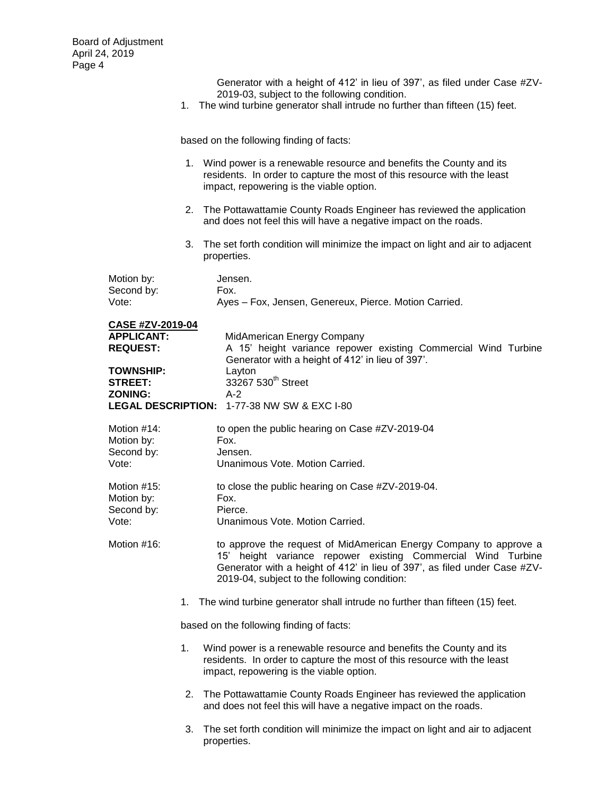Generator with a height of 412' in lieu of 397', as filed under Case #ZV-2019-03, subject to the following condition.

1. The wind turbine generator shall intrude no further than fifteen (15) feet.

based on the following finding of facts:

- 1. Wind power is a renewable resource and benefits the County and its residents. In order to capture the most of this resource with the least impact, repowering is the viable option.
- 2. The Pottawattamie County Roads Engineer has reviewed the application and does not feel this will have a negative impact on the roads.
- 3. The set forth condition will minimize the impact on light and air to adjacent properties.

| Motion by: | Jensen.                                               |
|------------|-------------------------------------------------------|
| Second by: | Fox.                                                  |
| Vote:      | Ayes - Fox, Jensen, Genereux, Pierce. Motion Carried. |

| <b>CASE #ZV-2019-04</b> |    |                                                                                                                                                                                                                                                                |
|-------------------------|----|----------------------------------------------------------------------------------------------------------------------------------------------------------------------------------------------------------------------------------------------------------------|
| <b>APPLICANT:</b>       |    | MidAmerican Energy Company                                                                                                                                                                                                                                     |
| <b>REQUEST:</b>         |    | A 15' height variance repower existing Commercial Wind Turbine                                                                                                                                                                                                 |
|                         |    | Generator with a height of 412' in lieu of 397'.                                                                                                                                                                                                               |
| <b>TOWNSHIP:</b>        |    | Layton                                                                                                                                                                                                                                                         |
| <b>STREET:</b>          |    | 33267 530 <sup>th</sup> Street                                                                                                                                                                                                                                 |
| <b>ZONING:</b>          |    | $A-2$                                                                                                                                                                                                                                                          |
|                         |    | <b>LEGAL DESCRIPTION: 1-77-38 NW SW &amp; EXC I-80</b>                                                                                                                                                                                                         |
| Motion #14:             |    | to open the public hearing on Case #ZV-2019-04                                                                                                                                                                                                                 |
| Motion by:              |    | Fox.                                                                                                                                                                                                                                                           |
| Second by:              |    | Jensen.                                                                                                                                                                                                                                                        |
| Vote:                   |    | Unanimous Vote. Motion Carried.                                                                                                                                                                                                                                |
| Motion $#15$ :          |    | to close the public hearing on Case #ZV-2019-04.                                                                                                                                                                                                               |
| Motion by:              |    | Fox.                                                                                                                                                                                                                                                           |
| Second by:              |    | Pierce.                                                                                                                                                                                                                                                        |
| Vote:                   |    | Unanimous Vote, Motion Carried.                                                                                                                                                                                                                                |
| Motion #16:             |    | to approve the request of MidAmerican Energy Company to approve a<br>15' height variance repower existing Commercial Wind Turbine<br>Generator with a height of 412' in lieu of 397', as filed under Case #ZV-<br>2019-04, subject to the following condition: |
|                         |    | 1. The wind turbine generator shall intrude no further than fifteen (15) feet.                                                                                                                                                                                 |
|                         |    | based on the following finding of facts:                                                                                                                                                                                                                       |
|                         | 1. | Wind power is a renewable resource and benefits the County and its<br>residents. In order to capture the most of this resource with the least<br>impact, repowering is the viable option.                                                                      |
|                         | 2. | The Pottawattamie County Roads Engineer has reviewed the application<br>and does not feel this will have a negative impact on the roads.                                                                                                                       |

3. The set forth condition will minimize the impact on light and air to adjacent properties.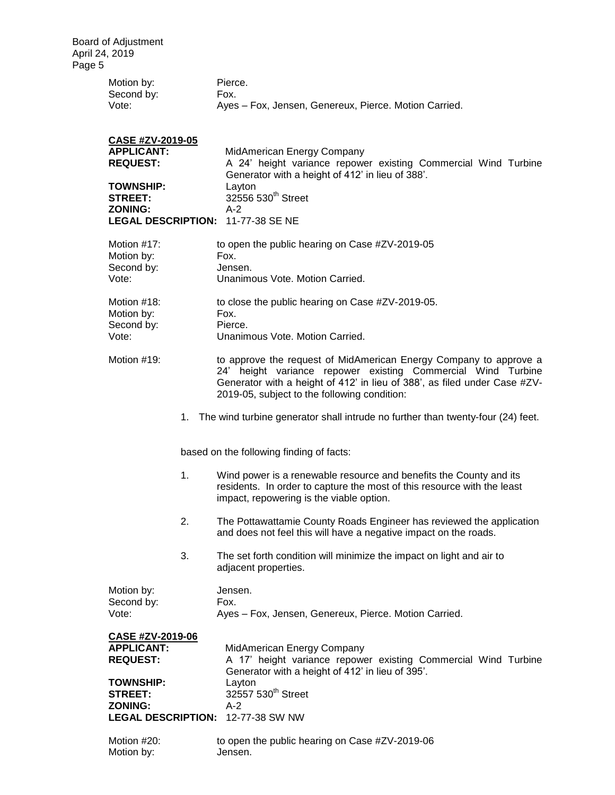| Motion by: | Pierce.                                               |
|------------|-------------------------------------------------------|
| Second by: | Fox.                                                  |
| Vote:      | Ayes – Fox, Jensen, Genereux, Pierce. Motion Carried. |

| <b>CASE #ZV-2019-05</b>           |                                                                |
|-----------------------------------|----------------------------------------------------------------|
| <b>APPLICANT:</b>                 | MidAmerican Energy Company                                     |
| <b>REQUEST:</b>                   | A 24' height variance repower existing Commercial Wind Turbine |
|                                   | Generator with a height of 412' in lieu of 388'.               |
| <b>TOWNSHIP:</b>                  | Layton                                                         |
| STREET:                           | 32556 530 <sup>th</sup> Street                                 |
| <b>ZONING:</b>                    | A-2                                                            |
| LEGAL DESCRIPTION: 11-77-38 SE NE |                                                                |
|                                   |                                                                |

| Motion #17:<br>Motion by:<br>Second by:<br>Vote:                                               |    | to open the public hearing on Case #ZV-2019-05<br>Fox.<br>Jensen.<br>Unanimous Vote. Motion Carried.                                                                                                                                                           |
|------------------------------------------------------------------------------------------------|----|----------------------------------------------------------------------------------------------------------------------------------------------------------------------------------------------------------------------------------------------------------------|
| Motion #18:<br>Motion by:<br>Second by:<br>Vote:                                               |    | to close the public hearing on Case #ZV-2019-05.<br>Fox.<br>Pierce.<br>Unanimous Vote. Motion Carried.                                                                                                                                                         |
| Motion #19:                                                                                    |    | to approve the request of MidAmerican Energy Company to approve a<br>24' height variance repower existing Commercial Wind Turbine<br>Generator with a height of 412' in lieu of 388', as filed under Case #ZV-<br>2019-05, subject to the following condition: |
|                                                                                                |    | 1. The wind turbine generator shall intrude no further than twenty-four (24) feet.                                                                                                                                                                             |
|                                                                                                |    | based on the following finding of facts:                                                                                                                                                                                                                       |
|                                                                                                | 1. | Wind power is a renewable resource and benefits the County and its<br>residents. In order to capture the most of this resource with the least<br>impact, repowering is the viable option.                                                                      |
|                                                                                                | 2. | The Pottawattamie County Roads Engineer has reviewed the application<br>and does not feel this will have a negative impact on the roads.                                                                                                                       |
|                                                                                                | 3. | The set forth condition will minimize the impact on light and air to<br>adjacent properties.                                                                                                                                                                   |
| Motion by:<br>Second by:<br>Vote:                                                              |    | Jensen.<br>Fox.<br>Ayes - Fox, Jensen, Genereux, Pierce. Motion Carried.                                                                                                                                                                                       |
| CASE #ZV-2019-06<br><b>APPLICANT:</b><br><b>REQUEST:</b><br><b>TOWNSHIP:</b><br><b>STREET:</b> |    | MidAmerican Energy Company<br>A 17' height variance repower existing Commercial Wind Turbine<br>Generator with a height of 412' in lieu of 395'.<br>Layton<br>32557 530 <sup>th</sup> Street                                                                   |

| Motion #20: | to open the public hearing on Case #ZV-2019-06 |
|-------------|------------------------------------------------|
| Motion by:  | Jensen.                                        |

**ZONING:** A-2

**LEGAL DESCRIPTION:** 12-77-38 SW NW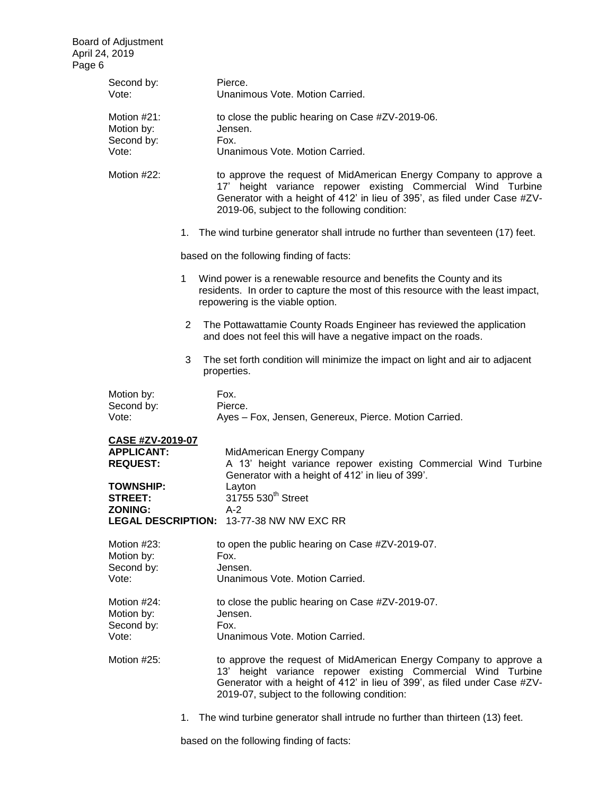| Second by:<br>Vote:                                             |    | Pierce.<br>Unanimous Vote. Motion Carried.                                                                                                                                                                                                                     |
|-----------------------------------------------------------------|----|----------------------------------------------------------------------------------------------------------------------------------------------------------------------------------------------------------------------------------------------------------------|
| Motion #21:<br>Motion by:<br>Second by:                         |    | to close the public hearing on Case #ZV-2019-06.<br>Jensen.<br>Fox.                                                                                                                                                                                            |
| Vote:                                                           |    | Unanimous Vote. Motion Carried.                                                                                                                                                                                                                                |
| Motion #22:                                                     |    | to approve the request of MidAmerican Energy Company to approve a<br>17' height variance repower existing Commercial Wind Turbine<br>Generator with a height of 412' in lieu of 395', as filed under Case #ZV-<br>2019-06, subject to the following condition: |
|                                                                 |    | 1. The wind turbine generator shall intrude no further than seventeen (17) feet.                                                                                                                                                                               |
|                                                                 |    | based on the following finding of facts:                                                                                                                                                                                                                       |
|                                                                 | 1. | Wind power is a renewable resource and benefits the County and its<br>residents. In order to capture the most of this resource with the least impact,<br>repowering is the viable option.                                                                      |
|                                                                 | 2  | The Pottawattamie County Roads Engineer has reviewed the application<br>and does not feel this will have a negative impact on the roads.                                                                                                                       |
|                                                                 | 3  | The set forth condition will minimize the impact on light and air to adjacent<br>properties.                                                                                                                                                                   |
| Motion by:<br>Second by:<br>Vote:                               |    | Fox.<br>Pierce.<br>Ayes - Fox, Jensen, Genereux, Pierce. Motion Carried.                                                                                                                                                                                       |
| <b>CASE #ZV-2019-07</b><br><b>APPLICANT:</b><br><b>REQUEST:</b> |    | MidAmerican Energy Company<br>A 13' height variance repower existing Commercial Wind Turbine<br>Generator with a height of 412' in lieu of 399'.                                                                                                               |
| <b>TOWNSHIP:</b><br><b>STREET:</b>                              |    | Layton<br>31755 530 <sup>th</sup> Street                                                                                                                                                                                                                       |
| ZONING:                                                         |    | A-2<br><b>LEGAL DESCRIPTION: 13-77-38 NW NW EXC RR</b>                                                                                                                                                                                                         |
| Motion #23:<br>Motion by:<br>Second by:                         |    | to open the public hearing on Case #ZV-2019-07.<br>Fox.<br>Jensen.                                                                                                                                                                                             |
| Vote:                                                           |    | Unanimous Vote. Motion Carried.                                                                                                                                                                                                                                |
| Motion #24:<br>Motion by:<br>Second by:<br>Vote:                |    | to close the public hearing on Case #ZV-2019-07.<br>Jensen.<br>Fox.<br>Unanimous Vote. Motion Carried.                                                                                                                                                         |
| Motion #25:                                                     |    | to approve the request of MidAmerican Energy Company to approve a<br>13' height variance repower existing Commercial Wind Turbine<br>Generator with a height of 412' in lieu of 399', as filed under Case #ZV-<br>2019-07, subject to the following condition: |
|                                                                 | 1. | The wind turbine generator shall intrude no further than thirteen (13) feet.                                                                                                                                                                                   |

based on the following finding of facts: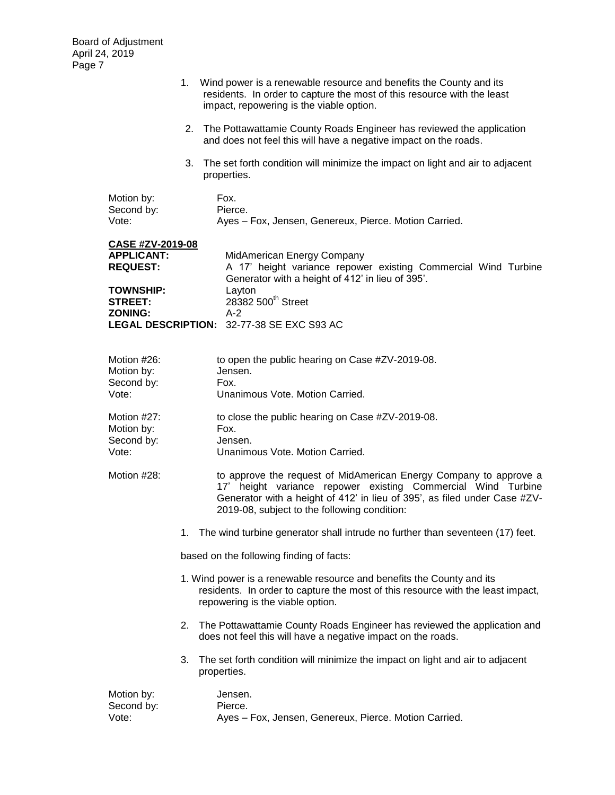|                                                                                                                         |    | 1. Wind power is a renewable resource and benefits the County and its<br>residents. In order to capture the most of this resource with the least<br>impact, repowering is the viable option.                                                                   |  |  |
|-------------------------------------------------------------------------------------------------------------------------|----|----------------------------------------------------------------------------------------------------------------------------------------------------------------------------------------------------------------------------------------------------------------|--|--|
|                                                                                                                         |    | 2. The Pottawattamie County Roads Engineer has reviewed the application<br>and does not feel this will have a negative impact on the roads.                                                                                                                    |  |  |
|                                                                                                                         | 3. | The set forth condition will minimize the impact on light and air to adjacent<br>properties.                                                                                                                                                                   |  |  |
| Motion by:<br>Second by:<br>Vote:                                                                                       |    | Fox.<br>Pierce.<br>Ayes - Fox, Jensen, Genereux, Pierce. Motion Carried.                                                                                                                                                                                       |  |  |
| <b>CASE #ZV-2019-08</b><br><b>APPLICANT:</b><br><b>REQUEST:</b><br><b>TOWNSHIP:</b><br><b>STREET:</b><br><b>ZONING:</b> |    | MidAmerican Energy Company<br>A 17' height variance repower existing Commercial Wind Turbine<br>Generator with a height of 412' in lieu of 395'.<br>Layton<br>28382 500 <sup>th</sup> Street<br>$A-2$<br>LEGAL DESCRIPTION: 32-77-38 SE EXC S93 AC             |  |  |
| Motion #26:<br>Motion by:<br>Second by:<br>Vote:                                                                        |    | to open the public hearing on Case #ZV-2019-08.<br>Jensen.<br>Fox.<br>Unanimous Vote. Motion Carried.                                                                                                                                                          |  |  |
| Motion #27:<br>Motion by:<br>Second by:<br>Vote:                                                                        |    | to close the public hearing on Case #ZV-2019-08.<br>Fox.<br>Jensen.<br>Unanimous Vote. Motion Carried.                                                                                                                                                         |  |  |
| Motion #28:                                                                                                             |    | to approve the request of MidAmerican Energy Company to approve a<br>17' height variance repower existing Commercial Wind Turbine<br>Generator with a height of 412' in lieu of 395', as filed under Case #ZV-<br>2019-08, subject to the following condition: |  |  |
|                                                                                                                         | 1. | The wind turbine generator shall intrude no further than seventeen (17) feet.                                                                                                                                                                                  |  |  |
|                                                                                                                         |    | based on the following finding of facts:                                                                                                                                                                                                                       |  |  |
|                                                                                                                         |    | 1. Wind power is a renewable resource and benefits the County and its<br>residents. In order to capture the most of this resource with the least impact,<br>repowering is the viable option.                                                                   |  |  |
|                                                                                                                         |    | 2. The Pottawattamie County Roads Engineer has reviewed the application and<br>does not feel this will have a negative impact on the roads.                                                                                                                    |  |  |
|                                                                                                                         | 3. | The set forth condition will minimize the impact on light and air to adjacent<br>properties.                                                                                                                                                                   |  |  |

| Motion by: | Jensen.                                               |
|------------|-------------------------------------------------------|
| Second by: | Pierce.                                               |
| Vote:      | Ayes - Fox, Jensen, Genereux, Pierce. Motion Carried. |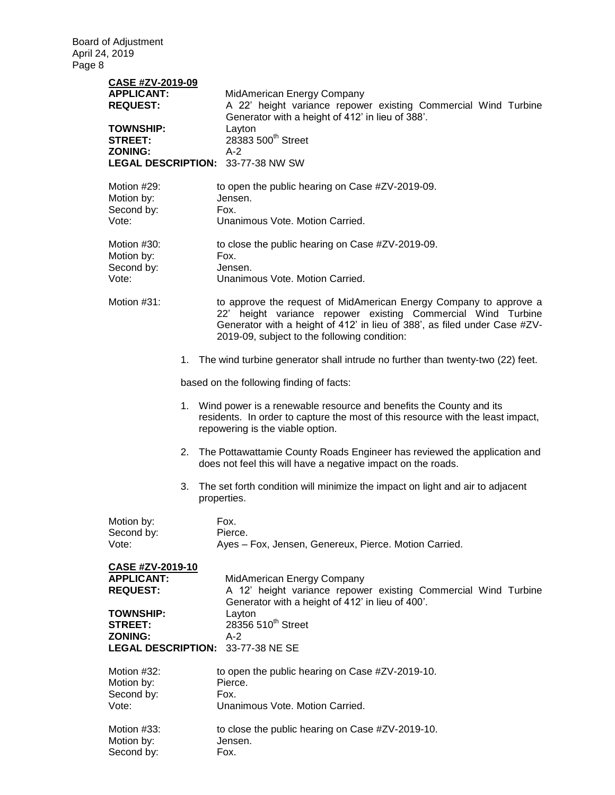| CASE #ZV-2019-09<br><b>APPLICANT:</b><br><b>REQUEST:</b><br><b>TOWNSHIP:</b><br><b>STREET:</b><br><b>ZONING:</b>                                     |    | MidAmerican Energy Company<br>A 22' height variance repower existing Commercial Wind Turbine<br>Generator with a height of 412' in lieu of 388'.<br>Layton<br>28383 500 <sup>th</sup> Street<br>$A-2$<br>LEGAL DESCRIPTION: 33-77-38 NW SW                     |
|------------------------------------------------------------------------------------------------------------------------------------------------------|----|----------------------------------------------------------------------------------------------------------------------------------------------------------------------------------------------------------------------------------------------------------------|
| Motion #29:<br>Motion by:<br>Second by:<br>Vote:                                                                                                     |    | to open the public hearing on Case #ZV-2019-09.<br>Jensen.<br>Fox.<br>Unanimous Vote. Motion Carried.                                                                                                                                                          |
| Motion #30:<br>Motion by:<br>Second by:<br>Vote:                                                                                                     |    | to close the public hearing on Case #ZV-2019-09.<br>Fox.<br>Jensen.<br>Unanimous Vote. Motion Carried.                                                                                                                                                         |
| Motion #31:                                                                                                                                          |    | to approve the request of MidAmerican Energy Company to approve a<br>22' height variance repower existing Commercial Wind Turbine<br>Generator with a height of 412' in lieu of 388', as filed under Case #ZV-<br>2019-09, subject to the following condition: |
|                                                                                                                                                      |    | 1. The wind turbine generator shall intrude no further than twenty-two (22) feet.                                                                                                                                                                              |
|                                                                                                                                                      |    | based on the following finding of facts:                                                                                                                                                                                                                       |
|                                                                                                                                                      |    | 1. Wind power is a renewable resource and benefits the County and its<br>residents. In order to capture the most of this resource with the least impact,<br>repowering is the viable option.                                                                   |
|                                                                                                                                                      | 2. | The Pottawattamie County Roads Engineer has reviewed the application and<br>does not feel this will have a negative impact on the roads.                                                                                                                       |
|                                                                                                                                                      | 3. | The set forth condition will minimize the impact on light and air to adjacent<br>properties.                                                                                                                                                                   |
| Motion by:<br>Second by:<br>Vote:                                                                                                                    |    | Fox.<br>Pierce.<br>Ayes - Fox, Jensen, Genereux, Pierce. Motion Carried.                                                                                                                                                                                       |
| <b>CASE #ZV-2019-10</b><br><b>APPLICANT:</b><br><b>REQUEST:</b><br><b>TOWNSHIP:</b><br><b>STREET:</b><br><b>ZONING:</b><br><b>LEGAL DESCRIPTION:</b> |    | MidAmerican Energy Company<br>A 12' height variance repower existing Commercial Wind Turbine<br>Generator with a height of 412' in lieu of 400'.<br>Layton<br>28356 510 <sup>th</sup> Street<br>$A-2$<br>33-77-38 NE SE                                        |
| Motion #32:<br>Motion by:<br>Second by:<br>Vote:                                                                                                     |    | to open the public hearing on Case #ZV-2019-10.<br>Pierce.<br>Fox.<br>Unanimous Vote. Motion Carried.                                                                                                                                                          |
| Motion #33:<br>Motion by:<br>Second by:                                                                                                              |    | to close the public hearing on Case #ZV-2019-10.<br>Jensen.<br>Fox.                                                                                                                                                                                            |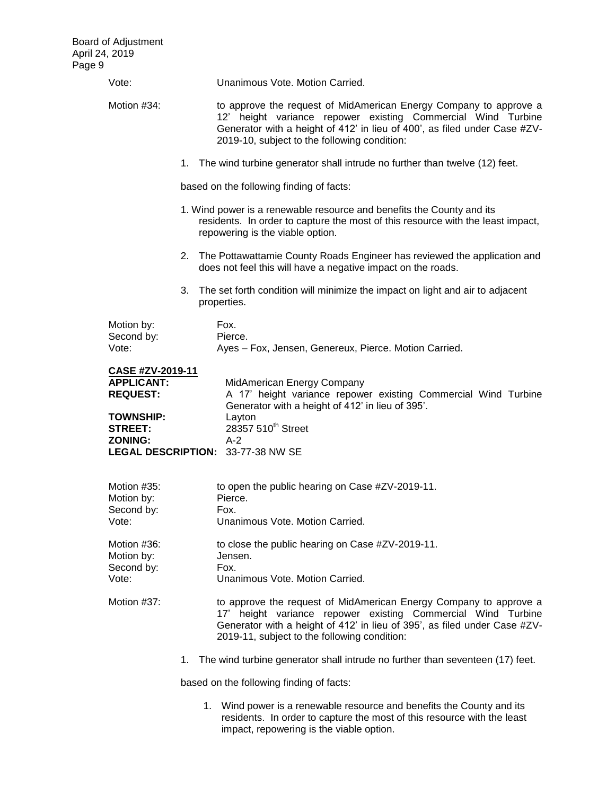| Vote:                                                                                                                   | Unanimous Vote, Motion Carried.                                                                                                                                                                                                                                          |  |  |  |
|-------------------------------------------------------------------------------------------------------------------------|--------------------------------------------------------------------------------------------------------------------------------------------------------------------------------------------------------------------------------------------------------------------------|--|--|--|
| Motion #34:                                                                                                             | to approve the request of MidAmerican Energy Company to approve a<br>12' height variance repower existing Commercial Wind Turbine<br>Generator with a height of 412' in lieu of 400', as filed under Case #ZV-<br>2019-10, subject to the following condition:           |  |  |  |
|                                                                                                                         | 1. The wind turbine generator shall intrude no further than twelve (12) feet.                                                                                                                                                                                            |  |  |  |
|                                                                                                                         | based on the following finding of facts:                                                                                                                                                                                                                                 |  |  |  |
|                                                                                                                         | 1. Wind power is a renewable resource and benefits the County and its<br>residents. In order to capture the most of this resource with the least impact,<br>repowering is the viable option.                                                                             |  |  |  |
|                                                                                                                         | 2. The Pottawattamie County Roads Engineer has reviewed the application and<br>does not feel this will have a negative impact on the roads.                                                                                                                              |  |  |  |
|                                                                                                                         | 3. The set forth condition will minimize the impact on light and air to adjacent<br>properties.                                                                                                                                                                          |  |  |  |
| Motion by:<br>Second by:<br>Vote:                                                                                       | Fox.<br>Pierce.<br>Ayes - Fox, Jensen, Genereux, Pierce. Motion Carried.                                                                                                                                                                                                 |  |  |  |
| <b>CASE #ZV-2019-11</b><br><b>APPLICANT:</b><br><b>REQUEST:</b><br><b>TOWNSHIP:</b><br><b>STREET:</b><br><b>ZONING:</b> | MidAmerican Energy Company<br>A 17' height variance repower existing Commercial Wind Turbine<br>Generator with a height of 412' in lieu of 395'.<br>Layton<br>28357 510 <sup>th</sup> Street<br>$A-2$<br>LEGAL DESCRIPTION: 33-77-38 NW SE                               |  |  |  |
| Motion #35:<br>Motion by:<br>Second by:<br>Vote:                                                                        | to open the public hearing on Case #ZV-2019-11.<br>Pierce.<br>Fox.<br>Unanimous Vote. Motion Carried.                                                                                                                                                                    |  |  |  |
| Motion #36:<br>Motion by:<br>Second by:<br>Vote:                                                                        | to close the public hearing on Case #ZV-2019-11.<br>Jensen.<br>Fox.<br>Unanimous Vote. Motion Carried.                                                                                                                                                                   |  |  |  |
| Motion #37:                                                                                                             | to approve the request of MidAmerican Energy Company to approve a<br>height variance repower existing Commercial Wind Turbine<br>$17^\circ$<br>Generator with a height of 412' in lieu of 395', as filed under Case #ZV-<br>2019-11, subject to the following condition: |  |  |  |
|                                                                                                                         | 1. The wind turbine generator shall intrude no further than seventeen (17) feet.                                                                                                                                                                                         |  |  |  |
|                                                                                                                         | based on the following finding of facts:                                                                                                                                                                                                                                 |  |  |  |
|                                                                                                                         | 1. Wind power is a renewable resource and benefits the County and its<br>residents. In order to capture the most of this resource with the least                                                                                                                         |  |  |  |

impact, repowering is the viable option.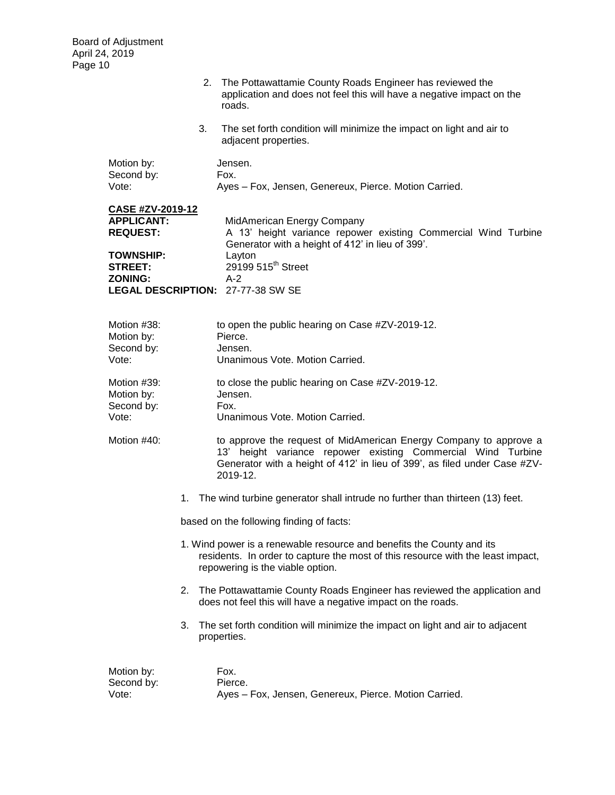|                                                                                                                         | 2. The Pottawattamie County Roads Engineer has reviewed the<br>application and does not feel this will have a negative impact on the<br>roads.                                                                                             |  |  |  |
|-------------------------------------------------------------------------------------------------------------------------|--------------------------------------------------------------------------------------------------------------------------------------------------------------------------------------------------------------------------------------------|--|--|--|
|                                                                                                                         | 3.<br>The set forth condition will minimize the impact on light and air to<br>adjacent properties.                                                                                                                                         |  |  |  |
| Motion by:<br>Second by:<br>Vote:                                                                                       | Jensen.<br>Fox.<br>Ayes - Fox, Jensen, Genereux, Pierce. Motion Carried.                                                                                                                                                                   |  |  |  |
| <b>CASE #ZV-2019-12</b><br><b>APPLICANT:</b><br><b>REQUEST:</b><br><b>TOWNSHIP:</b><br><b>STREET:</b><br><b>ZONING:</b> | MidAmerican Energy Company<br>A 13' height variance repower existing Commercial Wind Turbine<br>Generator with a height of 412' in lieu of 399'.<br>Layton<br>29199 515 <sup>th</sup> Street<br>$A-2$<br>LEGAL DESCRIPTION: 27-77-38 SW SE |  |  |  |
| Motion #38:<br>Motion by:<br>Second by:<br>Vote:                                                                        | to open the public hearing on Case #ZV-2019-12.<br>Pierce.<br>Jensen.<br>Unanimous Vote, Motion Carried.                                                                                                                                   |  |  |  |
| Motion #39:<br>Motion by:<br>Second by:<br>Vote:                                                                        | to close the public hearing on Case #ZV-2019-12.<br>Jensen.<br>Fox.<br>Unanimous Vote. Motion Carried.                                                                                                                                     |  |  |  |
| Motion #40:                                                                                                             | to approve the request of MidAmerican Energy Company to approve a<br>13' height variance repower existing Commercial Wind Turbine<br>Generator with a height of 412' in lieu of 399', as filed under Case #ZV-<br>2019-12.                 |  |  |  |
|                                                                                                                         | The wind turbine generator shall intrude no further than thirteen (13) feet.<br>1.                                                                                                                                                         |  |  |  |
|                                                                                                                         | based on the following finding of facts:                                                                                                                                                                                                   |  |  |  |
|                                                                                                                         | 1. Wind power is a renewable resource and benefits the County and its<br>residents. In order to capture the most of this resource with the least impact,<br>repowering is the viable option.                                               |  |  |  |
|                                                                                                                         | The Pottawattamie County Roads Engineer has reviewed the application and<br>2.<br>does not feel this will have a negative impact on the roads.                                                                                             |  |  |  |
|                                                                                                                         | The set forth condition will minimize the impact on light and air to adjacent<br>3.<br>properties.                                                                                                                                         |  |  |  |
| Motion by:<br>Second by:<br>Vote:                                                                                       | Fox.<br>Pierce.<br>Ayes - Fox, Jensen, Genereux, Pierce. Motion Carried.                                                                                                                                                                   |  |  |  |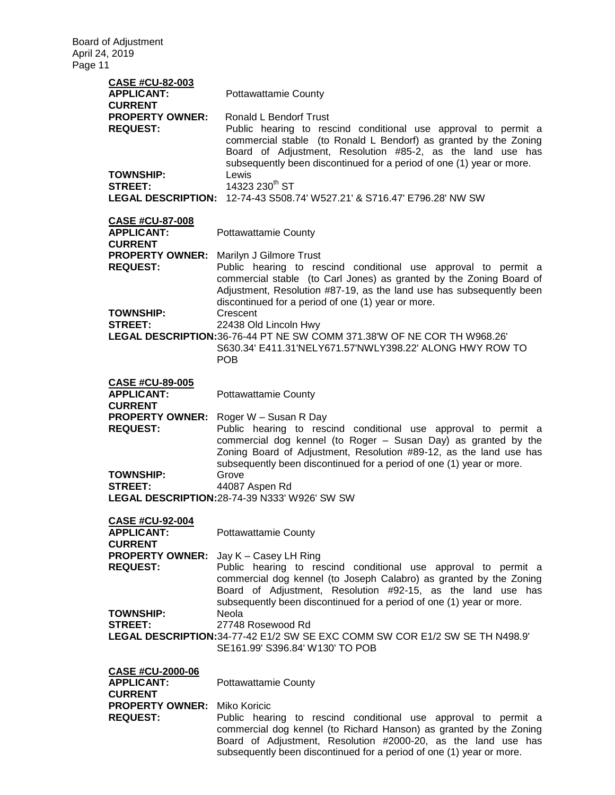| <b>CASE #CU-82-003</b><br><b>APPLICANT:</b><br><b>CURRENT</b><br><b>PROPERTY OWNER:</b><br><b>REQUEST:</b><br><b>TOWNSHIP:</b><br><b>STREET:</b> | <b>Pottawattamie County</b><br>Ronald L Bendorf Trust<br>Public hearing to rescind conditional use approval to permit a<br>commercial stable (to Ronald L Bendorf) as granted by the Zoning<br>Board of Adjustment, Resolution #85-2, as the land use has<br>subsequently been discontinued for a period of one (1) year or more.<br>Lewis<br>14323 230 <sup>th</sup> ST<br><b>LEGAL DESCRIPTION: 12-74-43 S508.74' W527.21' &amp; S716.47' E796.28' NW SW</b> |
|--------------------------------------------------------------------------------------------------------------------------------------------------|----------------------------------------------------------------------------------------------------------------------------------------------------------------------------------------------------------------------------------------------------------------------------------------------------------------------------------------------------------------------------------------------------------------------------------------------------------------|
| <b>CASE #CU-87-008</b><br><b>APPLICANT:</b><br><b>CURRENT</b>                                                                                    | <b>Pottawattamie County</b>                                                                                                                                                                                                                                                                                                                                                                                                                                    |
| <b>PROPERTY OWNER:</b><br><b>REQUEST:</b>                                                                                                        | Marilyn J Gilmore Trust<br>Public hearing to rescind conditional use approval to permit a<br>commercial stable (to Carl Jones) as granted by the Zoning Board of<br>Adjustment, Resolution #87-19, as the land use has subsequently been<br>discontinued for a period of one (1) year or more.                                                                                                                                                                 |
| <b>TOWNSHIP:</b><br><b>STREET:</b>                                                                                                               | Crescent<br>22438 Old Lincoln Hwy<br>LEGAL DESCRIPTION:36-76-44 PT NE SW COMM 371.38'W OF NE COR TH W968.26'<br>S630.34' E411.31'NELY671.57'NWLY398.22' ALONG HWY ROW TO<br><b>POB</b>                                                                                                                                                                                                                                                                         |
| <b>CASE #CU-89-005</b><br><b>APPLICANT:</b>                                                                                                      | <b>Pottawattamie County</b>                                                                                                                                                                                                                                                                                                                                                                                                                                    |
| <b>CURRENT</b><br><b>PROPERTY OWNER:</b><br><b>REQUEST:</b><br><b>TOWNSHIP:</b><br><b>STREET:</b>                                                | Roger W - Susan R Day<br>Public hearing to rescind conditional use approval to permit a<br>commercial dog kennel (to Roger - Susan Day) as granted by the<br>Zoning Board of Adjustment, Resolution #89-12, as the land use has<br>subsequently been discontinued for a period of one (1) year or more.<br>Grove<br>44087 Aspen Rd<br>LEGAL DESCRIPTION: 28-74-39 N333' W926' SW SW                                                                            |
| <b>CASE #CU-92-004</b>                                                                                                                           |                                                                                                                                                                                                                                                                                                                                                                                                                                                                |
| <b>APPLICANT:</b><br><b>CURRENT</b>                                                                                                              | <b>Pottawattamie County</b>                                                                                                                                                                                                                                                                                                                                                                                                                                    |
| <b>PROPERTY OWNER:</b><br><b>REQUEST:</b>                                                                                                        | Jay K - Casey LH Ring<br>Public hearing to rescind conditional use approval to permit a<br>commercial dog kennel (to Joseph Calabro) as granted by the Zoning<br>Board of Adjustment, Resolution #92-15, as the land use has<br>subsequently been discontinued for a period of one (1) year or more.                                                                                                                                                           |
| <b>TOWNSHIP:</b><br><b>STREET:</b>                                                                                                               | Neola<br>27748 Rosewood Rd<br>LEGAL DESCRIPTION:34-77-42 E1/2 SW SE EXC COMM SW COR E1/2 SW SE TH N498.9'<br>SE161.99' S396.84' W130' TO POB                                                                                                                                                                                                                                                                                                                   |
| <b>CASE #CU-2000-06</b><br><b>APPLICANT:</b>                                                                                                     | <b>Pottawattamie County</b>                                                                                                                                                                                                                                                                                                                                                                                                                                    |
| <b>CURRENT</b><br><b>PROPERTY OWNER:</b><br><b>REQUEST:</b>                                                                                      | Miko Koricic<br>Public hearing to rescind conditional use approval to permit a<br>commercial dog kennel (to Richard Hanson) as granted by the Zoning<br>Board of Adjustment, Resolution #2000-20, as the land use has<br>subsequently been discontinued for a period of one (1) year or more.                                                                                                                                                                  |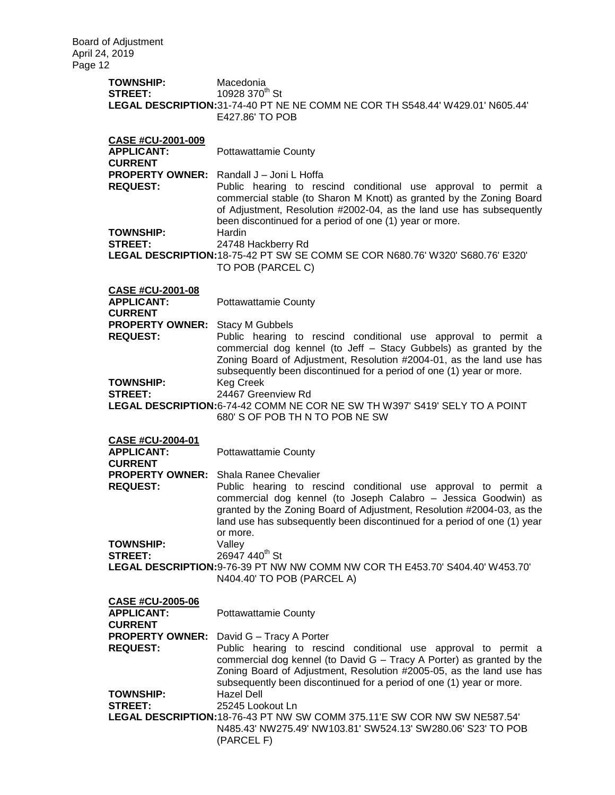**TOWNSHIP:** Macedonia **STREET:** 10928 370<sup>th</sup> St **LEGAL DESCRIPTION:**31-74-40 PT NE NE COMM NE COR TH S548.44' W429.01' N605.44' E427.86' TO POB **CASE #CU-2001-009 APPLICANT:** Pottawattamie County **CURRENT PROPERTY OWNER:** Randall J – Joni L Hoffa **REQUEST:** Public hearing to rescind conditional use approval to permit a commercial stable (to Sharon M Knott) as granted by the Zoning Board of Adjustment, Resolution #2002-04, as the land use has subsequently been discontinued for a period of one (1) year or more. **TOWNSHIP:** Hardin **STREET:** 24748 Hackberry Rd **LEGAL DESCRIPTION:**18-75-42 PT SW SE COMM SE COR N680.76' W320' S680.76' E320' TO POB (PARCEL C) **CASE #CU-2001-08 APPLICANT:** Pottawattamie County **CURRENT PROPERTY OWNER:** Stacy M Gubbels **REQUEST:** Public hearing to rescind conditional use approval to permit a commercial dog kennel (to Jeff – Stacy Gubbels) as granted by the Zoning Board of Adjustment, Resolution #2004-01, as the land use has subsequently been discontinued for a period of one (1) year or more. **TOWNSHIP:** Keg Creek **STREET:** 24467 Greenview Rd **LEGAL DESCRIPTION:**6-74-42 COMM NE COR NE SW TH W397' S419' SELY TO A POINT 680' S OF POB TH N TO POB NE SW **CASE #CU-2004-01 APPLICANT:** Pottawattamie County **CURRENT PROPERTY OWNER:** Shala Ranee Chevalier **REQUEST:** Public hearing to rescind conditional use approval to permit a commercial dog kennel (to Joseph Calabro – Jessica Goodwin) as granted by the Zoning Board of Adjustment, Resolution #2004-03, as the land use has subsequently been discontinued for a period of one (1) year or more. **TOWNSHIP:** Valley **STREET:** 26947 440<sup>th</sup> St **LEGAL DESCRIPTION:**9-76-39 PT NW NW COMM NW COR TH E453.70' S404.40' W453.70' N404.40' TO POB (PARCEL A) **CASE #CU-2005-06 APPLICANT:** Pottawattamie County **CURRENT PROPERTY OWNER:** David G – Tracy A Porter **REQUEST:** Public hearing to rescind conditional use approval to permit a commercial dog kennel (to David G – Tracy A Porter) as granted by the Zoning Board of Adjustment, Resolution #2005-05, as the land use has subsequently been discontinued for a period of one (1) year or more. **TOWNSHIP:** Hazel Dell **STREET:** 25245 Lookout Ln **LEGAL DESCRIPTION:**18-76-43 PT NW SW COMM 375.11'E SW COR NW SW NE587.54' N485.43' NW275.49' NW103.81' SW524.13' SW280.06' S23' TO POB (PARCEL F)